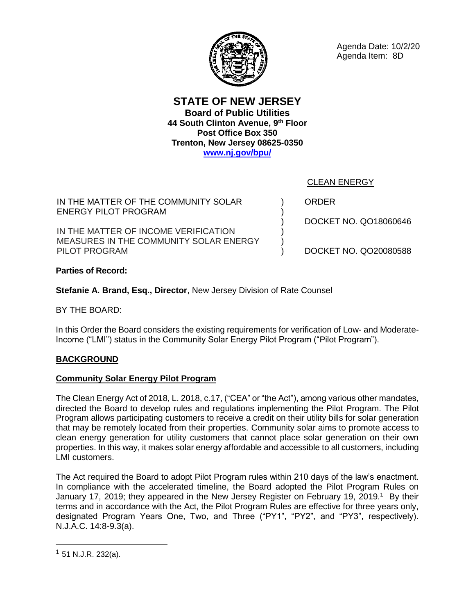**STATE OF NEW JERSEY Board of Public Utilities 44 South Clinton Avenue, 9th Floor Post Office Box 350 Trenton, New Jersey 08625-0350 [www.nj.gov/bpu/](about:blank)**

IN THE MATTER OF THE COMMUNITY SOLAR ENERGY PILOT PROGRAM

IN THE MATTER OF INCOME VERIFICATION MEASURES IN THE COMMUNITY SOLAR ENERGY PILOT PROGRAM

ORDER

) ) ) ) ) )

CLEAN ENERGY

DOCKET NO. QO18060646

DOCKET NO. QO20080588

**Parties of Record:**

**Stefanie A. Brand, Esq., Director**, New Jersey Division of Rate Counsel

BY THE BOARD:

In this Order the Board considers the existing requirements for verification of Low- and Moderate-Income ("LMI") status in the Community Solar Energy Pilot Program ("Pilot Program").

# **BACKGROUND**

### **Community Solar Energy Pilot Program**

The Clean Energy Act of 2018, L. 2018, c.17, ("CEA" or "the Act"), among various other mandates, directed the Board to develop rules and regulations implementing the Pilot Program. The Pilot Program allows participating customers to receive a credit on their utility bills for solar generation that may be remotely located from their properties. Community solar aims to promote access to clean energy generation for utility customers that cannot place solar generation on their own properties. In this way, it makes solar energy affordable and accessible to all customers, including LMI customers.

The Act required the Board to adopt Pilot Program rules within 210 days of the law's enactment. In compliance with the accelerated timeline, the Board adopted the Pilot Program Rules on January 17, 2019; they appeared in the New Jersey Register on February 19, 2019.<sup>1</sup> By their terms and in accordance with the Act, the Pilot Program Rules are effective for three years only, designated Program Years One, Two, and Three ("PY1", "PY2", and "PY3", respectively). N.J.A.C. 14:8-9.3(a).



Agenda Date: 10/2/20 Agenda Item: 8D

 $1$  51 N.J.R. 232(a).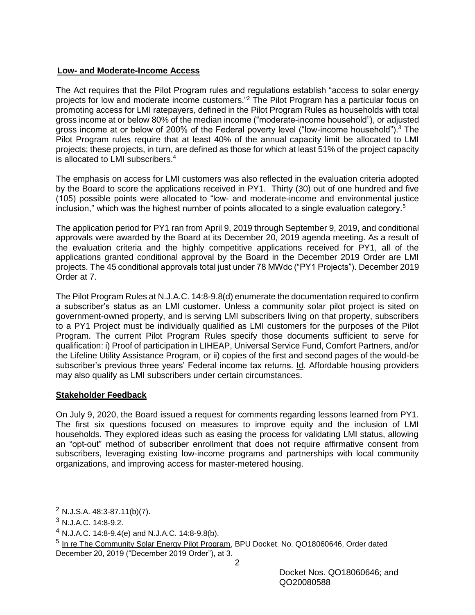# **Low- and Moderate-Income Access**

The Act requires that the Pilot Program rules and regulations establish "access to solar energy projects for low and moderate income customers."<sup>2</sup> The Pilot Program has a particular focus on promoting access for LMI ratepayers, defined in the Pilot Program Rules as households with total gross income at or below 80% of the median income ("moderate-income household"), or adjusted gross income at or below of 200% of the Federal poverty level ("low-income household").<sup>3</sup> The Pilot Program rules require that at least 40% of the annual capacity limit be allocated to LMI projects; these projects, in turn, are defined as those for which at least 51% of the project capacity is allocated to LMI subscribers. 4

The emphasis on access for LMI customers was also reflected in the evaluation criteria adopted by the Board to score the applications received in PY1. Thirty (30) out of one hundred and five (105) possible points were allocated to "low- and moderate-income and environmental justice inclusion," which was the highest number of points allocated to a single evaluation category.<sup>5</sup>

The application period for PY1 ran from April 9, 2019 through September 9, 2019, and conditional approvals were awarded by the Board at its December 20, 2019 agenda meeting. As a result of the evaluation criteria and the highly competitive applications received for PY1, all of the applications granted conditional approval by the Board in the December 2019 Order are LMI projects. The 45 conditional approvals total just under 78 MWdc ("PY1 Projects"). December 2019 Order at 7.

The Pilot Program Rules at N.J.A.C. 14:8-9.8(d) enumerate the documentation required to confirm a subscriber's status as an LMI customer. Unless a community solar pilot project is sited on government-owned property, and is serving LMI subscribers living on that property, subscribers to a PY1 Project must be individually qualified as LMI customers for the purposes of the Pilot Program. The current Pilot Program Rules specify those documents sufficient to serve for qualification: i) Proof of participation in LIHEAP, Universal Service Fund, Comfort Partners, and/or the Lifeline Utility Assistance Program, or ii) copies of the first and second pages of the would-be subscriber's previous three years' Federal income tax returns. Id. Affordable housing providers may also qualify as LMI subscribers under certain circumstances.

# **Stakeholder Feedback**

On July 9, 2020, the Board issued a request for comments regarding lessons learned from PY1. The first six questions focused on measures to improve equity and the inclusion of LMI households. They explored ideas such as easing the process for validating LMI status, allowing an "opt-out" method of subscriber enrollment that does not require affirmative consent from subscribers, leveraging existing low-income programs and partnerships with local community organizations, and improving access for master-metered housing.

 $\overline{a}$ 

<sup>2</sup> N.J.S.A. 48:3-87.11(b)(7).

<sup>3</sup> N.J.A.C. 14:8-9.2.

<sup>4</sup> N.J.A.C. 14:8-9.4(e) and N.J.A.C. 14:8-9.8(b).

<sup>&</sup>lt;sup>5</sup> In re The Community Solar Energy Pilot Program, BPU Docket. No. QO18060646, Order dated December 20, 2019 ("December 2019 Order"), at 3.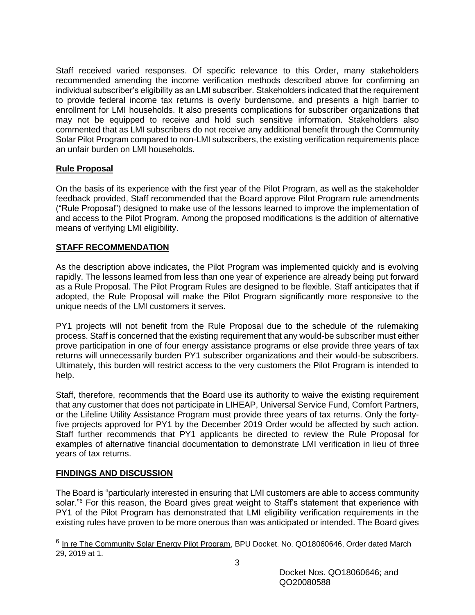Staff received varied responses. Of specific relevance to this Order, many stakeholders recommended amending the income verification methods described above for confirming an individual subscriber's eligibility as an LMI subscriber. Stakeholders indicated that the requirement to provide federal income tax returns is overly burdensome, and presents a high barrier to enrollment for LMI households. It also presents complications for subscriber organizations that may not be equipped to receive and hold such sensitive information. Stakeholders also commented that as LMI subscribers do not receive any additional benefit through the Community Solar Pilot Program compared to non-LMI subscribers, the existing verification requirements place an unfair burden on LMI households.

# **Rule Proposal**

On the basis of its experience with the first year of the Pilot Program, as well as the stakeholder feedback provided, Staff recommended that the Board approve Pilot Program rule amendments ("Rule Proposal") designed to make use of the lessons learned to improve the implementation of and access to the Pilot Program. Among the proposed modifications is the addition of alternative means of verifying LMI eligibility.

# **STAFF RECOMMENDATION**

As the description above indicates, the Pilot Program was implemented quickly and is evolving rapidly. The lessons learned from less than one year of experience are already being put forward as a Rule Proposal. The Pilot Program Rules are designed to be flexible. Staff anticipates that if adopted, the Rule Proposal will make the Pilot Program significantly more responsive to the unique needs of the LMI customers it serves.

PY1 projects will not benefit from the Rule Proposal due to the schedule of the rulemaking process. Staff is concerned that the existing requirement that any would-be subscriber must either prove participation in one of four energy assistance programs or else provide three years of tax returns will unnecessarily burden PY1 subscriber organizations and their would-be subscribers. Ultimately, this burden will restrict access to the very customers the Pilot Program is intended to help.

Staff, therefore, recommends that the Board use its authority to waive the existing requirement that any customer that does not participate in LIHEAP, Universal Service Fund, Comfort Partners, or the Lifeline Utility Assistance Program must provide three years of tax returns. Only the fortyfive projects approved for PY1 by the December 2019 Order would be affected by such action. Staff further recommends that PY1 applicants be directed to review the Rule Proposal for examples of alternative financial documentation to demonstrate LMI verification in lieu of three years of tax returns.

# **FINDINGS AND DISCUSSION**

The Board is "particularly interested in ensuring that LMI customers are able to access community solar.<sup>"6</sup> For this reason, the Board gives great weight to Staff's statement that experience with PY1 of the Pilot Program has demonstrated that LMI eligibility verification requirements in the existing rules have proven to be more onerous than was anticipated or intended. The Board gives

<sup>&</sup>lt;sup>6</sup> In re The Community Solar Energy Pilot Program, BPU Docket. No. QO18060646, Order dated March 29, 2019 at 1.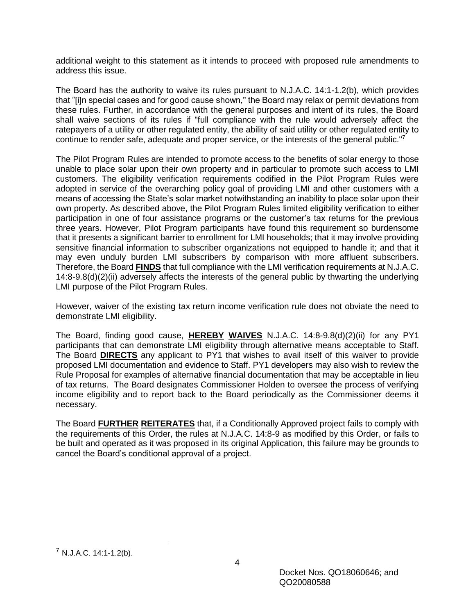additional weight to this statement as it intends to proceed with proposed rule amendments to address this issue.

The Board has the authority to waive its rules pursuant to N.J.A.C. 14:1-1.2(b), which provides that "[i]n special cases and for good cause shown," the Board may relax or permit deviations from these rules. Further, in accordance with the general purposes and intent of its rules, the Board shall waive sections of its rules if "full compliance with the rule would adversely affect the ratepayers of a utility or other regulated entity, the ability of said utility or other regulated entity to continue to render safe, adequate and proper service, or the interests of the general public."<sup>7</sup>

The Pilot Program Rules are intended to promote access to the benefits of solar energy to those unable to place solar upon their own property and in particular to promote such access to LMI customers. The eligibility verification requirements codified in the Pilot Program Rules were adopted in service of the overarching policy goal of providing LMI and other customers with a means of accessing the State's solar market notwithstanding an inability to place solar upon their own property. As described above, the Pilot Program Rules limited eligibility verification to either participation in one of four assistance programs or the customer's tax returns for the previous three years. However, Pilot Program participants have found this requirement so burdensome that it presents a significant barrier to enrollment for LMI households; that it may involve providing sensitive financial information to subscriber organizations not equipped to handle it; and that it may even unduly burden LMI subscribers by comparison with more affluent subscribers. Therefore, the Board **FINDS** that full compliance with the LMI verification requirements at N.J.A.C. 14:8-9.8(d)(2)(ii) adversely affects the interests of the general public by thwarting the underlying LMI purpose of the Pilot Program Rules.

However, waiver of the existing tax return income verification rule does not obviate the need to demonstrate LMI eligibility.

The Board, finding good cause, **HEREBY WAIVES** N.J.A.C. 14:8-9.8(d)(2)(ii) for any PY1 participants that can demonstrate LMI eligibility through alternative means acceptable to Staff. The Board **DIRECTS** any applicant to PY1 that wishes to avail itself of this waiver to provide proposed LMI documentation and evidence to Staff. PY1 developers may also wish to review the Rule Proposal for examples of alternative financial documentation that may be acceptable in lieu of tax returns. The Board designates Commissioner Holden to oversee the process of verifying income eligibility and to report back to the Board periodically as the Commissioner deems it necessary.

The Board **FURTHER REITERATES** that, if a Conditionally Approved project fails to comply with the requirements of this Order, the rules at N.J.A.C. 14:8-9 as modified by this Order, or fails to be built and operated as it was proposed in its original Application, this failure may be grounds to cancel the Board's conditional approval of a project.

 $\overline{a}$ 

<sup>7</sup> N.J.A.C. 14:1-1.2(b).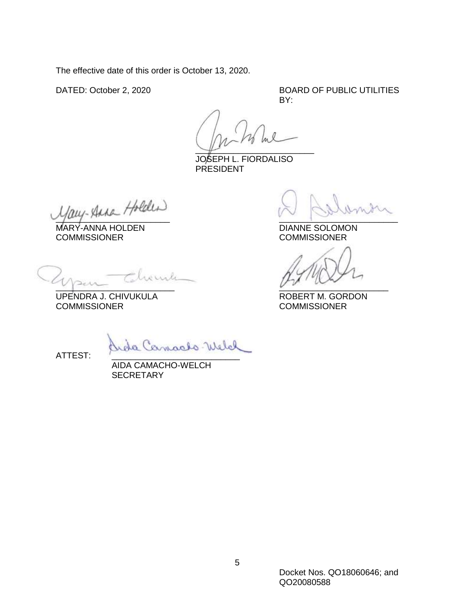The effective date of this order is October 13, 2020.

DATED: October 2, 2020 BOARD OF PUBLIC UTILITIES BY:

 $\sqrt{\mu}$ 

JOSEPH L. FIORDALISO PRESIDENT

 $\frac{1}{2}$   $\frac{1}{2}$   $\frac{1}{2}$   $\frac{1}{2}$   $\frac{1}{2}$   $\frac{1}{2}$   $\frac{1}{2}$   $\frac{1}{2}$   $\frac{1}{2}$   $\frac{1}{2}$   $\frac{1}{2}$   $\frac{1}{2}$   $\frac{1}{2}$   $\frac{1}{2}$   $\frac{1}{2}$   $\frac{1}{2}$   $\frac{1}{2}$   $\frac{1}{2}$   $\frac{1}{2}$   $\frac{1}{2}$   $\frac{1}{2}$   $\frac{1}{2}$ 

MARY-ANNA HOLDEN DIANNE SOLOMONISSIONER<br>COMMISSIONER COMMISSIONER **COMMISSIONER** 

 $V$   $\sim$ 

UPENDRA J. CHIVUKULA ROBERT M. GORDON COMMISSIONER COMMISSIONER

Welch

ATTEST:

AIDA CAMACHO-WELCH **SECRETARY**